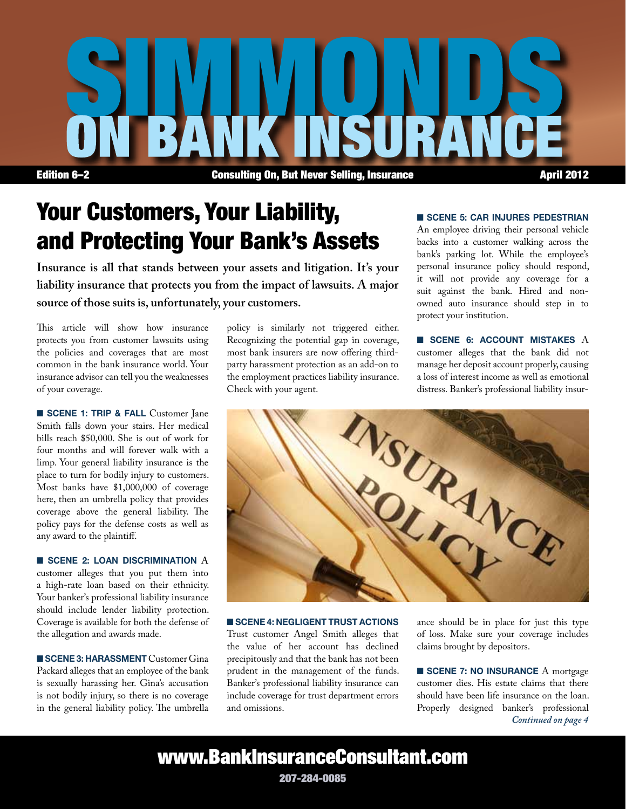

# Your Customers, Your Liability, and Protecting Your Bank's Assets

**Insurance is all that stands between your assets and litigation. It's your liability insurance that protects you from the impact of lawsuits. A major source of those suits is, unfortunately, your customers.**

This article will show how insurance protects you from customer lawsuits using the policies and coverages that are most common in the bank insurance world. Your insurance advisor can tell you the weaknesses of your coverage.

SCENE 1: TRIP & FALL Customer Jane Smith falls down your stairs. Her medical bills reach \$50,000. She is out of work for four months and will forever walk with a limp. Your general liability insurance is the place to turn for bodily injury to customers. Most banks have \$1,000,000 of coverage here, then an umbrella policy that provides coverage above the general liability. The policy pays for the defense costs as well as any award to the plaintiff.

 $\blacksquare$  SCENE 2: LOAN DISCRIMINATION  $\boldsymbol{A}$ customer alleges that you put them into a high-rate loan based on their ethnicity. Your banker's professional liability insurance should include lender liability protection. Coverage is available for both the defense of the allegation and awards made.

SCENE 3: HARASSMENT Customer Gina Packard alleges that an employee of the bank is sexually harassing her. Gina's accusation is not bodily injury, so there is no coverage in the general liability policy. The umbrella

policy is similarly not triggered either. Recognizing the potential gap in coverage, most bank insurers are now offering thirdparty harassment protection as an add-on to the employment practices liability insurance. Check with your agent.

#### SCENE 5: CAR INJURES PEDESTRIAN

An employee driving their personal vehicle backs into a customer walking across the bank's parking lot. While the employee's personal insurance policy should respond, it will not provide any coverage for a suit against the bank. Hired and nonowned auto insurance should step in to protect your institution.

 $\blacksquare$  SCENE 6: ACCOUNT MISTAKES  $A$ customer alleges that the bank did not manage her deposit account properly, causing a loss of interest income as well as emotional distress. Banker's professional liability insur-



SCENE 4: NEGLIGENT TRUST ACTIONS Trust customer Angel Smith alleges that the value of her account has declined precipitously and that the bank has not been prudent in the management of the funds. Banker's professional liability insurance can include coverage for trust department errors and omissions.

ance should be in place for just this type of loss. Make sure your coverage includes claims brought by depositors.

 $\blacksquare$  SCENE 7: NO INSURANCE A mortgage customer dies. His estate claims that there should have been life insurance on the loan. Properly designed banker's professional *Continued on page 4*

www.BankInsuranceConsultant.com

207-284-0085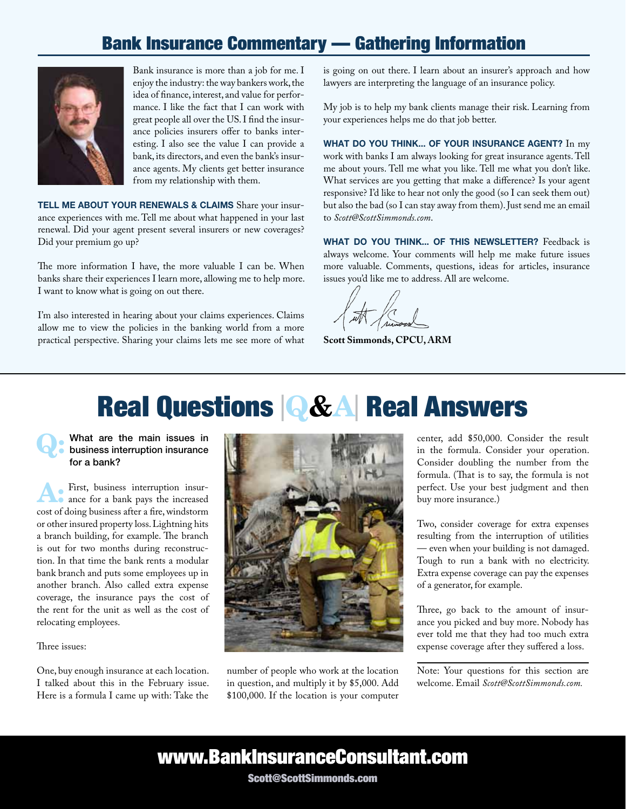#### Bank Insurance Commentary — Gathering Information



Bank insurance is more than a job for me. I enjoy the industry: the way bankers work, the idea of finance, interest, and value for performance. I like the fact that I can work with great people all over the US. I find the insurance policies insurers offer to banks interesting. I also see the value I can provide a bank, its directors, and even the bank's insurance agents. My clients get better insurance from my relationship with them.

TELL ME ABOUT YOUR RENEWALS & CLAIMS Share your insurance experiences with me. Tell me about what happened in your last renewal. Did your agent present several insurers or new coverages? Did your premium go up?

The more information I have, the more valuable I can be. When banks share their experiences I learn more, allowing me to help more. I want to know what is going on out there.

I'm also interested in hearing about your claims experiences. Claims allow me to view the policies in the banking world from a more practical perspective. Sharing your claims lets me see more of what is going on out there. I learn about an insurer's approach and how lawyers are interpreting the language of an insurance policy.

My job is to help my bank clients manage their risk. Learning from your experiences helps me do that job better.

WHAT DO YOU THINK... OF YOUR INSURANCE AGENT? In my work with banks I am always looking for great insurance agents. Tell me about yours. Tell me what you like. Tell me what you don't like. What services are you getting that make a difference? Is your agent responsive? I'd like to hear not only the good (so I can seek them out) but also the bad (so I can stay away from them). Just send me an email to *Scott@ScottSimmonds.com*.

WHAT DO YOU THINK... OF THIS NEWSLETTER? Feedback is always welcome. Your comments will help me make future issues more valuable. Comments, questions, ideas for articles, insurance issues you'd like me to address. All are welcome.

**Scott Simmonds, CPCU, ARM**

# Real Questions <sup>|</sup>Q&A| Real Answers

What are the main issues in business interruption insurance for a bank?

A: First, business interruption insur-ance for a bank pays the increased cost of doing business after a fire, windstorm or other insured property loss. Lightning hits a branch building, for example. The branch is out for two months during reconstruction. In that time the bank rents a modular bank branch and puts some employees up in another branch. Also called extra expense coverage, the insurance pays the cost of the rent for the unit as well as the cost of relocating employees.

Three issues:

One, buy enough insurance at each location. I talked about this in the February issue. Here is a formula I came up with: Take the



number of people who work at the location in question, and multiply it by \$5,000. Add \$100,000. If the location is your computer center, add \$50,000. Consider the result in the formula. Consider your operation. Consider doubling the number from the formula. (That is to say, the formula is not perfect. Use your best judgment and then buy more insurance.)

Two, consider coverage for extra expenses resulting from the interruption of utilities — even when your building is not damaged. Tough to run a bank with no electricity. Extra expense coverage can pay the expenses of a generator, for example.

Three, go back to the amount of insurance you picked and buy more. Nobody has ever told me that they had too much extra expense coverage after they suffered a loss.

Note: Your questions for this section are welcome. Email *Scott@ScottSimmonds.com.*

### www.BankInsuranceConsultant.com

Scott@ScottSimmonds.com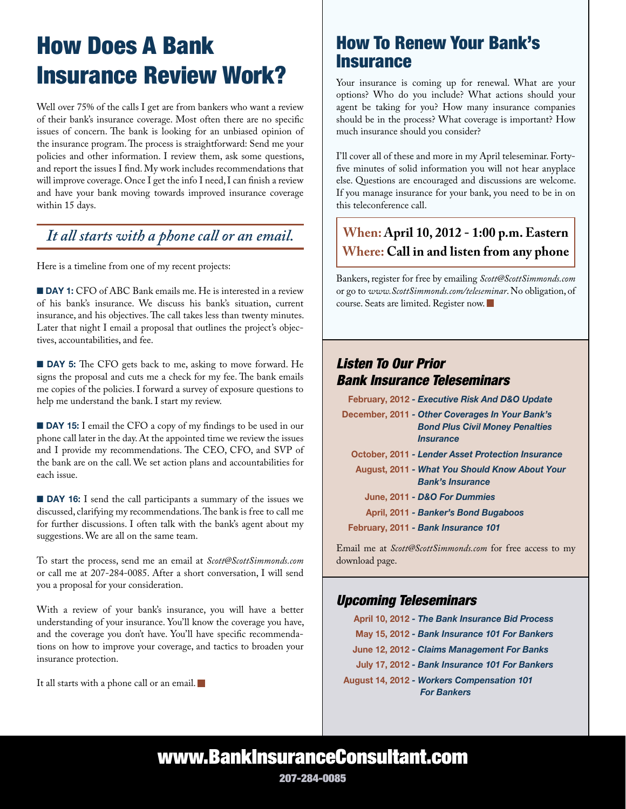# How Does A Bank Insurance Review Work?

Well over 75% of the calls I get are from bankers who want a review of their bank's insurance coverage. Most often there are no specific issues of concern. The bank is looking for an unbiased opinion of the insurance program. The process is straightforward: Send me your policies and other information. I review them, ask some questions, and report the issues I find. My work includes recommendations that will improve coverage. Once I get the info I need, I can finish a review and have your bank moving towards improved insurance coverage within 15 days.

#### *It all starts with a phone call or an email.*

Here is a timeline from one of my recent projects:

■ DAY 1: CFO of ABC Bank emails me. He is interested in a review of his bank's insurance. We discuss his bank's situation, current insurance, and his objectives. The call takes less than twenty minutes. Later that night I email a proposal that outlines the project's objectives, accountabilities, and fee.

**n DAY 5:** The CFO gets back to me, asking to move forward. He signs the proposal and cuts me a check for my fee. The bank emails me copies of the policies. I forward a survey of exposure questions to help me understand the bank. I start my review.

**DAY 15:** I email the CFO a copy of my findings to be used in our phone call later in the day. At the appointed time we review the issues and I provide my recommendations. The CEO, CFO, and SVP of the bank are on the call. We set action plans and accountabilities for each issue.

**n** DAY 16: I send the call participants a summary of the issues we discussed, clarifying my recommendations. The bank is free to call me for further discussions. I often talk with the bank's agent about my suggestions. We are all on the same team.

To start the process, send me an email at *Scott@ScottSimmonds.com*  or call me at 207-284-0085. After a short conversation, I will send you a proposal for your consideration.

With a review of your bank's insurance, you will have a better understanding of your insurance. You'll know the coverage you have, and the coverage you don't have. You'll have specific recommendations on how to improve your coverage, and tactics to broaden your insurance protection.

It all starts with a phone call or an email.

### How To Renew Your Bank's **Insurance**

Your insurance is coming up for renewal. What are your options? Who do you include? What actions should your agent be taking for you? How many insurance companies should be in the process? What coverage is important? How much insurance should you consider?

I'll cover all of these and more in my April teleseminar. Fortyfive minutes of solid information you will not hear anyplace else. Questions are encouraged and discussions are welcome. If you manage insurance for your bank, you need to be in on this teleconference call.

#### **When: April 10, 2012 - 1:00 p.m. Eastern Where: Call in and listen from any phone**

Bankers, register for free by emailing *Scott@ScottSimmonds.com* or go to *www.ScottSimmonds.com/teleseminar*. No obligation, of course. Seats are limited. Register now.

#### *Listen To Our Prior Bank Insurance Teleseminars*

February, 2012 *- Executive Risk And D&O Update*

- December, 2011  *Other Coverages In Your Bank's Bond Plus Civil Money Penalties Insurance*
	- October, 2011 *Lender Asset Protection Insurance*
	- August, 2011 *What You Should Know About Your Bank's Insurance*
		- June, 2011 *D&O For Dummies*
		- April, 2011 *Banker's Bond Bugaboos*
- February, 2011 *Bank Insurance 101*

Email me at *Scott@ScottSimmonds.com* for free access to my download page.

#### *Upcoming Teleseminars*

 April 10, 2012 *- The Bank Insurance Bid Process* May 15, 2012 *- Bank Insurance 101 For Bankers* June 12, 2012 *- Claims Management For Banks* July 17, 2012 *- Bank Insurance 101 For Bankers* August 14, 2012 *- Workers Compensation 101 For Bankers*

### www.BankInsuranceConsultant.com

207-284-0085